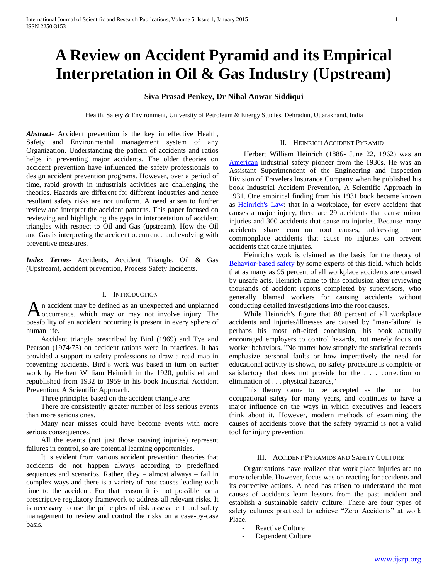# **A Review on Accident Pyramid and its Empirical Interpretation in Oil & Gas Industry (Upstream)**

## **Siva Prasad Penkey, Dr Nihal Anwar Siddiqui**

Health, Safety & Environment, University of Petroleum & Energy Studies, Dehradun, Uttarakhand, India

*Abstract***-** Accident prevention is the key in effective Health, Safety and Environmental management system of any Organization. Understanding the pattern of accidents and ratios helps in preventing major accidents. The older theories on accident prevention have influenced the safety professionals to design accident prevention programs. However, over a period of time, rapid growth in industrials activities are challenging the theories. Hazards are different for different industries and hence resultant safety risks are not uniform. A need arisen to further review and interpret the accident patterns. This paper focused on reviewing and highlighting the gaps in interpretation of accident triangles with respect to Oil and Gas (upstream). How the Oil and Gas is interpreting the accident occurrence and evolving with preventive measures.

*Index Terms*- Accidents, Accident Triangle, Oil & Gas (Upstream), accident prevention, Process Safety Incidents.

## I. INTRODUCTION

n accident may be defined as an unexpected and unplanned occurrence, which may or may not involve injury. The An accident may be defined as an unexpected and unplanned<br>possibility of an accident occurring is present in every sphere of human life.

 Accident triangle prescribed by Bird (1969) and Tye and Pearson (1974/75) on accident rations were in practices. It has provided a support to safety professions to draw a road map in preventing accidents. Bird's work was based in turn on earlier work by Herbert William Heinrich in the 1920, published and republished from 1932 to 1959 in his book Industrial Accident Prevention: A Scientific Approach.

Three principles based on the accident triangle are:

 There are consistently greater number of less serious events than more serious ones.

 Many near misses could have become events with more serious consequences.

 All the events (not just those causing injuries) represent failures in control, so are potential learning opportunities.

 It is evident from various accident prevention theories that accidents do not happen always according to predefined sequences and scenarios. Rather, they – almost always – fail in complex ways and there is a variety of root causes leading each time to the accident. For that reason it is not possible for a prescriptive regulatory framework to address all relevant risks. It is necessary to use the principles of risk assessment and safety management to review and control the risks on a case-by-case basis.

#### II. HEINRICH ACCIDENT PYRAMID

 Herbert William Heinrich (1886- June 22, 1962) was an [American](http://en.wikipedia.org/wiki/United_States) industrial safety pioneer from the 1930s. He was an Assistant Superintendent of the Engineering and Inspection Division of Travelers Insurance Company when he published his book Industrial Accident Prevention, A Scientific Approach in 1931. One empirical finding from his 1931 book became known as [Heinrich's Law:](http://en.wikipedia.org/w/index.php?title=Heinrich%27s_Law&action=edit&redlink=1) that in a workplace, for every accident that causes a major injury, there are 29 accidents that cause minor injuries and 300 accidents that cause no injuries. Because many accidents share common root causes, addressing more commonplace accidents that cause no injuries can prevent accidents that cause injuries.

 Heinrich's work is claimed as the basis for the theory of [Behavior-based safety](http://en.wikipedia.org/wiki/Behavior-based_safety) by some experts of this field, which holds that as many as 95 percent of all workplace accidents are caused by unsafe acts. Heinrich came to this conclusion after reviewing thousands of accident reports completed by supervisors, who generally blamed workers for causing accidents without conducting detailed investigations into the root causes.

 While Heinrich's figure that 88 percent of all workplace accidents and injuries/illnesses are caused by "man-failure" is perhaps his most oft-cited conclusion, his book actually encouraged employers to control hazards, not merely focus on worker behaviors. "No matter how strongly the statistical records emphasize personal faults or how imperatively the need for educational activity is shown, no safety procedure is complete or satisfactory that does not provide for the . . . correction or elimination of . . . physical hazards,"

 This theory came to be accepted as the norm for occupational safety for many years, and continues to have a major influence on the ways in which executives and leaders think about it. However, modern methods of examining the causes of accidents prove that the safety pyramid is not a valid tool for injury prevention.

### III. ACCIDENT PYRAMIDS AND SAFETY CULTURE

 Organizations have realized that work place injuries are no more tolerable. However, focus was on reacting for accidents and its corrective actions. A need has arisen to understand the root causes of accidents learn lessons from the past incident and establish a sustainable safety culture. There are four types of safety cultures practiced to achieve "Zero Accidents" at work Place.

- Reactive Culture
- Dependent Culture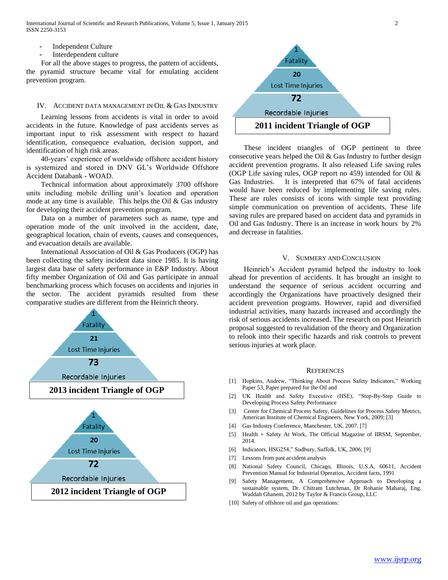International Journal of Scientific and Research Publications, Volume 5, Issue 1, January 2015 2 ISSN 2250-3153

- Independent Culture
- Interdependent culture

 For all the above stages to progress, the pattern of accidents, the pyramid structure became vital for emulating accident prevention program.

#### IV. ACCIDENT DATA MANAGEMENT IN OIL & GAS INDUSTRY

 Learning lessons from accidents is vital in order to avoid accidents in the future. Knowledge of past accidents serves as important input to risk assessment with respect to hazard identification, consequence evaluation, decision support, and identification of high risk areas.

 40-years' experience of worldwide offshore accident history is systemized and stored in DNV GL's Worldwide Offshore Accident Databank - WOAD.

 Technical information about approximately 3700 offshore units including mobile drilling unit's location and operation mode at any time is available. This helps the Oil & Gas industry for developing their accident prevention program.

 Data on a number of parameters such as name, type and operation mode of the unit involved in the accident, date, geographical location, chain of events, causes and consequences, and evacuation details are available.

 International Association of Oil & Gas Producers (OGP) has been collecting the safety incident data since 1985. It is having largest data base of safety performance in E&P Industry. About fifty member Organization of Oil and Gas participate in annual benchmarking process which focuses on accidents and injuries in the sector. The accident pyramids resulted from these comparative studies are different from the Heinrich theory.





 These incident triangles of OGP pertinent to three consecutive years helped the Oil & Gas Industry to further design accident prevention programs. It also released Life saving rules (OGP Life saving rules, OGP report no 459) intended for Oil & Gas Industries. It is interpreted that 67% of fatal accidents would have been reduced by implementing life saving rules. These are rules consists of icons with simple text providing simple communication on prevention of accidents. These life saving rules are prepared based on accident data and pyramids in Oil and Gas Industry. There is an increase in work hours by 2% and decrease in fatalities.

#### V. SUMMERY AND CONCLUSION

 Heinrich's Accident pyramid helped the industry to look ahead for prevention of accidents. It has brought an insight to understand the sequence of serious accident occurring and accordingly the Organizations have proactively designed their accident prevention programs. However, rapid and diversified industrial activities, many hazards increased and accordingly the risk of serious accidents increased. The research on post Heinrich proposal suggested to revalidation of the theory and Organization to relook into their specific hazards and risk controls to prevent serious injuries at work place.

#### **REFERENCES**

- [1] Hopkins, Andrew, "Thinking About Process Safety Indicators," Working Paper 53, Paper prepared for the Oil and
- [2] UK Health and Safety Executive (HSE), "Step-By-Step Guide to Developing Process Safety Performance
- [3] Center for Chemical Process Safety, Guidelines for Process Safety Metrics, American Institute of Chemical Engineers, New York, 2009; [3]
- [4] Gas Industry Conference, Manchester, UK, 2007. [7]
- [5] Health + Safety At Work, The Official Magazine of IIRSM, September, 2014.
- [6] Indicators, HSG254," Sudbury, Suffolk, UK, 2006; [9]
- [7] Lessons from past accident analysis
- [8] National Safety Council, Chicago, Illinois, U.S.A, 60611, Accident Prevention Manual for Industrial Operatios, Accident facts, 1991
- [9] Safety Management, A Comprehensive Approach to Developing a sustainable system, Dr. Chitram Lutchman, Dr Rohanie Maharaj, Eng. Waddah Ghanem, 2012 by Taylor & Francis Group, LLC
- [10] Safety of offshore oil and gas operations: